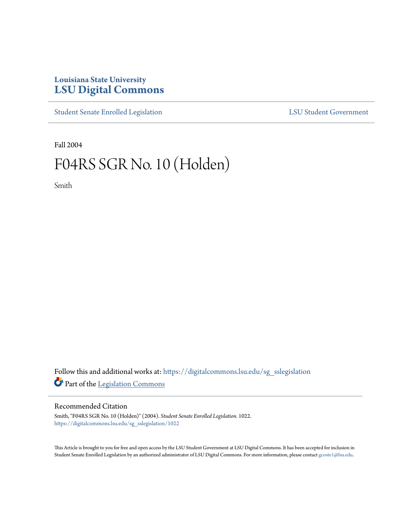# **Louisiana State University [LSU Digital Commons](https://digitalcommons.lsu.edu?utm_source=digitalcommons.lsu.edu%2Fsg_sslegislation%2F1022&utm_medium=PDF&utm_campaign=PDFCoverPages)**

[Student Senate Enrolled Legislation](https://digitalcommons.lsu.edu/sg_sslegislation?utm_source=digitalcommons.lsu.edu%2Fsg_sslegislation%2F1022&utm_medium=PDF&utm_campaign=PDFCoverPages) [LSU Student Government](https://digitalcommons.lsu.edu/sg?utm_source=digitalcommons.lsu.edu%2Fsg_sslegislation%2F1022&utm_medium=PDF&utm_campaign=PDFCoverPages)

Fall 2004

# F04RS SGR No. 10 (Holden)

Smith

Follow this and additional works at: [https://digitalcommons.lsu.edu/sg\\_sslegislation](https://digitalcommons.lsu.edu/sg_sslegislation?utm_source=digitalcommons.lsu.edu%2Fsg_sslegislation%2F1022&utm_medium=PDF&utm_campaign=PDFCoverPages) Part of the [Legislation Commons](http://network.bepress.com/hgg/discipline/859?utm_source=digitalcommons.lsu.edu%2Fsg_sslegislation%2F1022&utm_medium=PDF&utm_campaign=PDFCoverPages)

### Recommended Citation

Smith, "F04RS SGR No. 10 (Holden)" (2004). *Student Senate Enrolled Legislation*. 1022. [https://digitalcommons.lsu.edu/sg\\_sslegislation/1022](https://digitalcommons.lsu.edu/sg_sslegislation/1022?utm_source=digitalcommons.lsu.edu%2Fsg_sslegislation%2F1022&utm_medium=PDF&utm_campaign=PDFCoverPages)

This Article is brought to you for free and open access by the LSU Student Government at LSU Digital Commons. It has been accepted for inclusion in Student Senate Enrolled Legislation by an authorized administrator of LSU Digital Commons. For more information, please contact [gcoste1@lsu.edu.](mailto:gcoste1@lsu.edu)